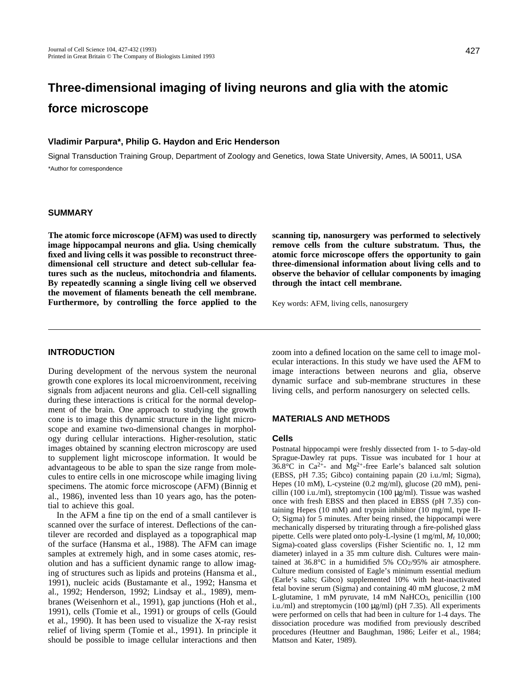# **Three-dimensional imaging of living neurons and glia with the atomic force microscope**

### **Vladimir Parpura\*, Philip G. Haydon and Eric Henderson**

Signal Transduction Training Group, Department of Zoology and Genetics, Iowa State University, Ames, IA 50011, USA \*Author for correspondence

#### **SUMMARY**

**The atomic force microscope (AFM) was used to directly image hippocampal neurons and glia. Using chemically fixed and living cells it was possible to reconstruct threedimensional cell structure and detect sub-cellular features such as the nucleus, mitochondria and filaments. By repeatedly scanning a single living cell we observed the movement of filaments beneath the cell membrane. Furthermore, by controlling the force applied to the** **scanning tip, nanosurgery was performed to selectively remove cells from the culture substratum. Thus, the atomic force microscope offers the opportunity to gain three-dimensional information about living cells and to observe the behavior of cellular components by imaging through the intact cell membrane.**

Key words: AFM, living cells, nanosurgery

# **INTRODUCTION**

During development of the nervous system the neuronal growth cone explores its local microenvironment, receiving signals from adjacent neurons and glia. Cell-cell signalling during these interactions is critical for the normal development of the brain. One approach to studying the growth cone is to image this dynamic structure in the light microscope and examine two-dimensional changes in morphology during cellular interactions. Higher-resolution, static images obtained by scanning electron microscopy are used to supplement light microscope information. It would be advantageous to be able to span the size range from molecules to entire cells in one microscope while imaging living specimens. The atomic force microscope (AFM) (Binnig et al., 1986), invented less than 10 years ago, has the potential to achieve this goal.

In the AFM a fine tip on the end of a small cantilever is scanned over the surface of interest. Deflections of the cantilever are recorded and displayed as a topographical map of the surface (Hansma et al., 1988). The AFM can image samples at extremely high, and in some cases atomic, resolution and has a sufficient dynamic range to allow imaging of structures such as lipids and proteins (Hansma et al., 1991), nucleic acids (Bustamante et al., 1992; Hansma et al., 1992; Henderson, 1992; Lindsay et al., 1989), membranes (Weisenhorn et al., 1991), gap junctions (Hoh et al., 1991), cells (Tomie et al., 1991) or groups of cells (Gould et al., 1990). It has been used to visualize the X-ray resist relief of living sperm (Tomie et al., 1991). In principle it should be possible to image cellular interactions and then zoom into a defined location on the same cell to image molecular interactions. In this study we have used the AFM to image interactions between neurons and glia, observe dynamic surface and sub-membrane structures in these living cells, and perform nanosurgery on selected cells.

# **MATERIALS AND METHODS**

#### **Cells**

Postnatal hippocampi were freshly dissected from 1- to 5-day-old Sprague-Dawley rat pups. Tissue was incubated for 1 hour at  $36.8^{\circ}$ C in Ca<sup>2+</sup>- and Mg<sup>2+</sup>-free Earle's balanced salt solution (EBSS, pH 7.35; Gibco) containing papain (20 i.u./ml; Sigma), Hepes (10 mM), L-cysteine (0.2 mg/ml), glucose (20 mM), penicillin (100 i.u./ml), streptomycin (100 μ g/ml). Tissue was washed once with fresh EBSS and then placed in EBSS (pH 7.35) containing Hepes (10 mM) and trypsin inhibitor (10 mg/ml, type II-O; Sigma) for 5 minutes. After being rinsed, the hippocampi were mechanically dispersed by triturating through a fire-polished glass pipette. Cells were plated onto poly-L-lysine (1 mg/ml, *M*r 10,000; Sigma)-coated glass coverslips (Fisher Scientific no. 1, 12 mm diameter) inlayed in a 35 mm culture dish. Cultures were maintained at  $36.8^{\circ}$ C in a humidified  $5\%$  CO<sub>2</sub>/95% air atmosphere. Culture medium consisted of Eagle's minimum essential medium (Earle's salts; Gibco) supplemented 10% with heat-inactivated fetal bovine serum (Sigma) and containing 40 mM glucose, 2 mM L-glutamine, 1 mM pyruvate, 14 mM NaHCO<sub>3</sub>, penicillin (100 i.u./ml) and streptomycin (100  $\mu$ g/ml) (pH 7.35). All experiments were performed on cells that had been in culture for 1-4 days. The dissociation procedure was modified from previously described procedures (Heuttner and Baughman, 1986; Leifer et al., 1984; Mattson and Kater, 1989).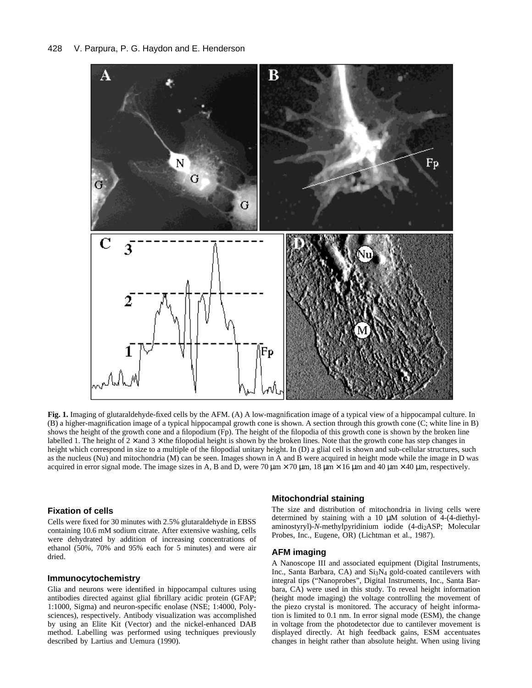

**Fig. 1.** Imaging of glutaraldehyde-fixed cells by the AFM. (A) A low-magnification image of a typical view of a hippocampal culture. In (B) a higher-magnification image of a typical hippocampal growth cone is shown. A section through this growth cone (C; white line in B) shows the height of the growth cone and a filopodium (Fp). The height of the filopodia of this growth cone is shown by the broken line labelled 1. The height of  $2 \times$  and  $3 \times$  the filopodial height is shown by the broken lines. Note that the growth cone has step changes in height which correspond in size to a multiple of the filopodial unitary height. In (D) a glial cell is shown and sub-cellular structures, such as the nucleus (Nu) and mitochondria (M) can be seen. Images shown in A and B were acquired in height mode while the image in D was acquired in error signal mode. The image sizes in A, B and D, were  $70 \mu m \times 70 \mu m$ ,  $18 \mu m \times 16 \mu m$  and  $40 \mu m \times 40 \mu m$ , respectively.

# **Fixation of cells**

Cells were fixed for 30 minutes with 2.5% glutaraldehyde in EBSS containing 10.6 mM sodium citrate. After extensive washing, cells were dehydrated by addition of increasing concentrations of ethanol (50%, 70% and 95% each for 5 minutes) and were air dried.

#### **Immunocytochemistry**

Glia and neurons were identified in hippocampal cultures using antibodies directed against glial fibrillary acidic protein (GFAP; 1:1000, Sigma) and neuron-specific enolase (NSE; 1:4000, Polysciences), respectively. Antibody visualization was accomplished by using an Elite Kit (Vector) and the nickel-enhanced DAB method. Labelling was performed using techniques previously described by Lartius and Uemura (1990).

#### **Mitochondrial staining**

The size and distribution of mitochondria in living cells were determined by staining with a 10  $\mu$ M solution of 4-(4-diethylaminostyryl)-*N*-methylpyridinium iodide (4-di2ASP; Molecular Probes, Inc., Eugene, OR) (Lichtman et al., 1987).

#### **AFM imaging**

A Nanoscope III and associated equipment (Digital Instruments, Inc., Santa Barbara, CA) and Si3N4 gold-coated cantilevers with integral tips ("Nanoprobes", Digital Instruments, Inc., Santa Barbara, CA) were used in this study. To reveal height information (height mode imaging) the voltage controlling the movement of the piezo crystal is monitored. The accuracy of height information is limited to 0.1 nm. In error signal mode (ESM), the change in voltage from the photodetector due to cantilever movement is displayed directly. At high feedback gains, ESM accentuates changes in height rather than absolute height. When using living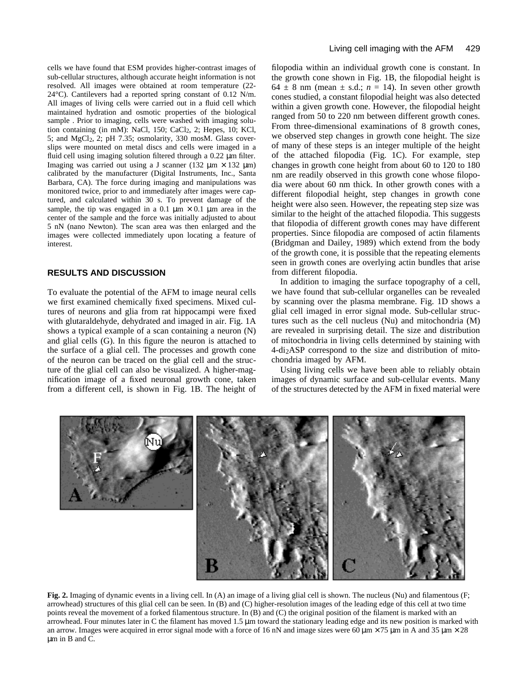cells we have found that ESM provides higher-contrast images of sub-cellular structures, although accurate height information is not resolved. All images were obtained at room temperature (22- 24°C). Cantilevers had a reported spring constant of 0.12 N/m. All images of living cells were carried out in a fluid cell which maintained hydration and osmotic properties of the biological sample . Prior to imaging, cells were washed with imaging solution containing (in mM): NaCl, 150; CaCl<sub>2</sub>, 2; Hepes, 10; KCl, 5; and MgCl2, 2; pH 7.35; osmolarity, 330 mosM. Glass coverslips were mounted on metal discs and cells were imaged in a fluid cell using imaging solution filtered through a  $0.22 \mu$  m filter. Imaging was carried out using a J scanner (132  $\mu$ m × 132  $\mu$ m) calibrated by the manufacturer (Digital Instruments, Inc., Santa Barbara, CA). The force during imaging and manipulations was monitored twice, prior to and immediately after images were captured, and calculated within 30 s. To prevent damage of the sample, the tip was engaged in a 0.1  $\mu$ m × 0.1  $\mu$ m area in the center of the sample and the force was initially adjusted to about 5 nN (nano Newton). The scan area was then enlarged and the images were collected immediately upon locating a feature of interest.

# **RESULTS AND DISCUSSION**

To evaluate the potential of the AFM to image neural cells we first examined chemically fixed specimens. Mixed cultures of neurons and glia from rat hippocampi were fixed with glutaraldehyde, dehydrated and imaged in air. Fig. 1A shows a typical example of a scan containing a neuron (N) and glial cells (G). In this figure the neuron is attached to the surface of a glial cell. The processes and growth cone of the neuron can be traced on the glial cell and the structure of the glial cell can also be visualized. A higher-magnification image of a fixed neuronal growth cone, taken from a different cell, is shown in Fig. 1B. The height of filopodia within an individual growth cone is constant. In the growth cone shown in Fig. 1B, the filopodial height is 64  $\pm$  8 nm (mean  $\pm$  s.d.; *n* = 14). In seven other growth cones studied, a constant filopodial height was also detected within a given growth cone. However, the filopodial height ranged from 50 to 220 nm between different growth cones. From three-dimensional examinations of 8 growth cones, we observed step changes in growth cone height. The size of many of these steps is an integer multiple of the height of the attached filopodia (Fig. 1C). For example, step changes in growth cone height from about 60 to 120 to 180 nm are readily observed in this growth cone whose filopodia were about 60 nm thick. In other growth cones with a different filopodial height, step changes in growth cone height were also seen. However, the repeating step size was similar to the height of the attached filopodia. This suggests that filopodia of different growth cones may have different properties. Since filopodia are composed of actin filaments (Bridgman and Dailey, 1989) which extend from the body of the growth cone, it is possible that the repeating elements seen in growth cones are overlying actin bundles that arise from different filopodia.

In addition to imaging the surface topography of a cell, we have found that sub-cellular organelles can be revealed by scanning over the plasma membrane. Fig. 1D shows a glial cell imaged in error signal mode. Sub-cellular structures such as the cell nucleus (Nu) and mitochondria (M) are revealed in surprising detail. The size and distribution of mitochondria in living cells determined by staining with 4-di2ASP correspond to the size and distribution of mitochondria imaged by AFM.

Using living cells we have been able to reliably obtain images of dynamic surface and sub-cellular events. Many of the structures detected by the AFM in fixed material were



**Fig. 2.** Imaging of dynamic events in a living cell. In (A) an image of a living glial cell is shown. The nucleus (Nu) and filamentous (F; arrowhead) structures of this glial cell can be seen. In (B) and (C) higher-resolution images of the leading edge of this cell at two time points reveal the movement of a forked filamentous structure. In (B) and (C) the original position of the filament is marked with an arrowhead. Four minutes later in C the filament has moved  $1.5 \mu$ m toward the stationary leading edge and its new position is marked with an arrow. Images were acquired in error signal mode with a force of 16 nN and image sizes were 60  $\mu$  m × 75  $\mu$  m in A and 35  $\mu$  m × 28 μm in B and C.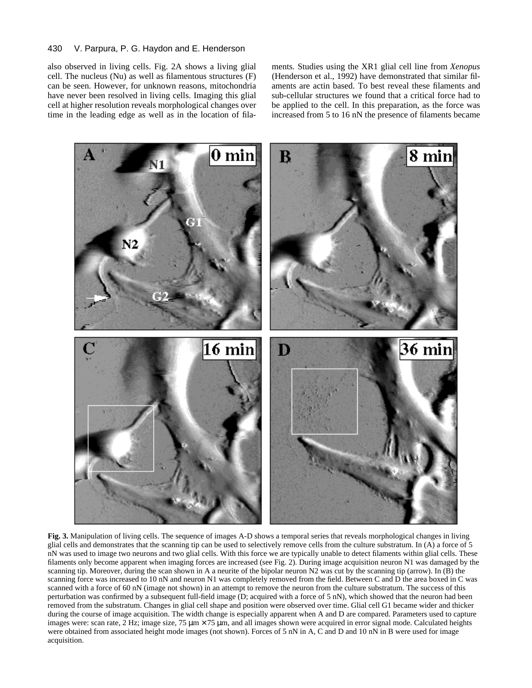#### 430 V. Parpura, P. G. Haydon and E. Henderson

also observed in living cells. Fig. 2A shows a living glial cell. The nucleus (Nu) as well as filamentous structures (F) can be seen. However, for unknown reasons, mitochondria have never been resolved in living cells. Imaging this glial cell at higher resolution reveals morphological changes over time in the leading edge as well as in the location of filaments. Studies using the XR1 glial cell line from *Xenopus* (Henderson et al., 1992) have demonstrated that similar filaments are actin based. To best reveal these filaments and sub-cellular structures we found that a critical force had to be applied to the cell. In this preparation, as the force was increased from 5 to 16 nN the presence of filaments became



**Fig. 3.** Manipulation of living cells. The sequence of images A-D shows a temporal series that reveals morphological changes in living glial cells and demonstrates that the scanning tip can be used to selectively remove cells from the culture substratum. In (A) a force of 5 nN was used to image two neurons and two glial cells. With this force we are typically unable to detect filaments within glial cells. These filaments only become apparent when imaging forces are increased (see Fig. 2). During image acquisition neuron N1 was damaged by the scanning tip. Moreover, during the scan shown in A a neurite of the bipolar neuron N2 was cut by the scanning tip (arrow). In (B) the scanning force was increased to 10 nN and neuron N1 was completely removed from the field. Between C and D the area boxed in C was scanned with a force of 60 nN (image not shown) in an attempt to remove the neuron from the culture substratum. The success of this perturbation was confirmed by a subsequent full-field image (D; acquired with a force of 5 nN), which showed that the neuron had been removed from the substratum. Changes in glial cell shape and position were observed over time. Glial cell G1 became wider and thicker during the course of image acquisition. The width change is especially apparent when A and D are compared. Parameters used to capture images were: scan rate, 2 Hz; image size, 75  $\mu$  m × 75  $\mu$  m, and all images shown were acquired in error signal mode. Calculated heights were obtained from associated height mode images (not shown). Forces of 5 nN in A, C and D and 10 nN in B were used for image acquisition.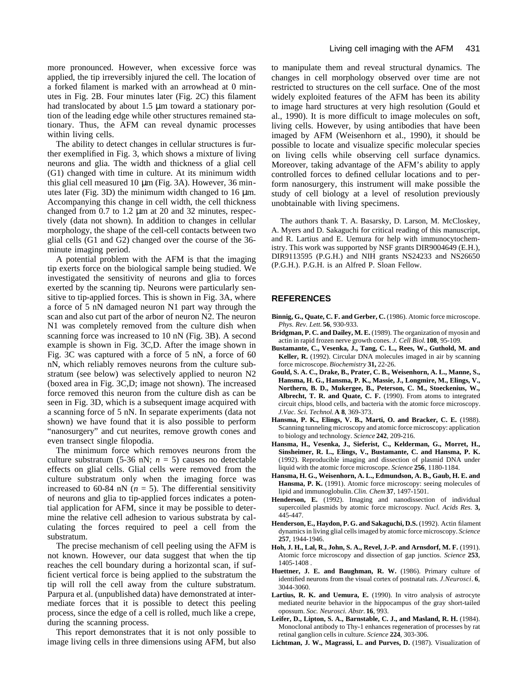more pronounced. However, when excessive force was applied, the tip irreversibly injured the cell. The location of a forked filament is marked with an arrowhead at 0 minutes in Fig. 2B. Four minutes later (Fig. 2C) this filament had translocated by about  $1.5 \mu$ m toward a stationary portion of the leading edge while other structures remained stationary. Thus, the AFM can reveal dynamic processes within living cells.

The ability to detect changes in cellular structures is further exemplified in Fig. 3, which shows a mixture of living neurons and glia. The width and thickness of a glial cell (G1) changed with time in culture. At its minimum width this glial cell measured 10  $\mu$ m (Fig. 3A). However, 36 minutes later (Fig. 3D) the minimum width changed to  $16 \mu m$ . Accompanying this change in cell width, the cell thickness changed from 0.7 to 1.2  $\mu$ m at 20 and 32 minutes, respectively (data not shown). In addition to changes in cellular morphology, the shape of the cell-cell contacts between two glial cells (G1 and G2) changed over the course of the 36 minute imaging period.

A potential problem with the AFM is that the imaging tip exerts force on the biological sample being studied. We investigated the sensitivity of neurons and glia to forces exerted by the scanning tip. Neurons were particularly sensitive to tip-applied forces. This is shown in Fig. 3A, where a force of 5 nN damaged neuron N1 part way through the scan and also cut part of the arbor of neuron N2. The neuron N1 was completely removed from the culture dish when scanning force was increased to 10 nN (Fig. 3B). A second example is shown in Fig. 3C,D. After the image shown in Fig. 3C was captured with a force of 5 nN, a force of 60 nN, which reliably removes neurons from the culture substratum (see below) was selectively applied to neuron N2 (boxed area in Fig. 3C,D; image not shown). The increased force removed this neuron from the culture dish as can be seen in Fig. 3D, which is a subsequent image acquired with a scanning force of 5 nN. In separate experiments (data not shown) we have found that it is also possible to perform "nanosurgery" and cut neurites, remove growth cones and even transect single filopodia.

The minimum force which removes neurons from the culture substratum (5-36 nN;  $n = 5$ ) causes no detectable effects on glial cells. Glial cells were removed from the culture substratum only when the imaging force was increased to 60-84 nN  $(n = 5)$ . The differential sensitivity of neurons and glia to tip-applied forces indicates a potential application for AFM, since it may be possible to determine the relative cell adhesion to various substrata by calculating the forces required to peel a cell from the substratum.

The precise mechanism of cell peeling using the AFM is not known. However, our data suggest that when the tip reaches the cell boundary during a horizontal scan, if sufficient vertical force is being applied to the substratum the tip will roll the cell away from the culture substratum. Parpura et al. (unpublished data) have demonstrated at intermediate forces that it is possible to detect this peeling process, since the edge of a cell is rolled, much like a crepe, during the scanning process.

This report demonstrates that it is not only possible to image living cells in three dimensions using AFM, but also

to manipulate them and reveal structural dynamics. The changes in cell morphology observed over time are not restricted to structures on the cell surface. One of the most widely exploited features of the AFM has been its ability to image hard structures at very high resolution (Gould et al., 1990). It is more difficult to image molecules on soft, living cells. However, by using antibodies that have been imaged by AFM (Weisenhorn et al., 1990), it should be possible to locate and visualize specific molecular species on living cells while observing cell surface dynamics. Moreover, taking advantage of the AFM's ability to apply controlled forces to defined cellular locations and to perform nanosurgery, this instrument will make possible the study of cell biology at a level of resolution previously unobtainable with living specimens.

The authors thank T. A. Basarsky, D. Larson, M. McCloskey, A. Myers and D. Sakaguchi for critical reading of this manuscript, and R. Lartius and E. Uemura for help with immunocytochemistry. This work was supported by NSF grants DIR9004649 (E.H.), DIR9113595 (P.G.H.) and NIH grants NS24233 and NS26650 (P.G.H.). P.G.H. is an Alfred P. Sloan Fellow.

#### **REFERENCES**

- **Binnig, G., Quate, C. F. and Gerber, C.** (1986). Atomic force microscope. *Phys. Rev. Lett.* **56**, 930-933.
- **Bridgman, P. C. and Dailey, M. E.** (1989). The organization of myosin and actin in rapid frozen nerve growth cones. *J. Cell Biol.***108**, 95-109.
- **Bustamante, C., Vesenka, J., Tang, C. L., Rees, W., Guthold, M. and Keller, R.** (1992). Circular DNA molecules imaged in air by scanning force microscope. *Biochemistry* **31,** 22-26.
- **Gould, S. A. C., Drake, B., Prater, C. B., Weisenhorn, A. L., Manne, S., Hansma, H. G., Hansma, P. K., Massie, J., Longmire, M., Elings, V., Northern, B. D., Mukergee, B., Peterson, C. M., Stoeckenius, W., Albrecht, T. R. and Quate, C. F.** (1990). From atoms to integrated circuit chips, blood cells, and bacteria with the atomic force microscopy. *J.Vac. Sci. Technol.***A 8**, 369-373.
- **Hansma, P. K., Elings, V. B., Marti, O. and Bracker, C. E.** (1988). Scanning tunneling microscopy and atomic force microscopy: application to biology and technology. *Science* **242**, 209-216.
- **Hansma, H., Vesenka, J., Sieferist, C., Kelderman, G., Morret, H., Sinsheimer, R. L., Elings, V., Bustamante, C. and Hansma, P. K.** (1992). Reproducible imaging and dissection of plasmid DNA under liquid with the atomic force microscope. *Science* **256**, 1180-1184.
- **Hansma, H. G., Weisenhorn, A. L., Edmundson, A. B., Gaub, H. E. and** Hansma, P. K. (1991). Atomic force microscopy: seeing molecules of lipid and immunoglobulin. *Clin. Chem* **37**, 1497-1501.
- **Henderson, E.** (1992). Imaging and nanodissection of individual supercoiled plasmids by atomic force microscopy. *Nucl. Acids Res.* **3,** 445-447.
- **Henderson, E., Haydon, P. G. and Sakaguchi, D.S.** (1992). Actin filament dynamics in living glial cells imaged by atomic force microscopy. *Science* **257**, 1944-1946.
- **Hoh, J. H., Lal, R., John, S. A., Revel, J.-P. and Arnsdorf, M. F.** (1991). Atomic force microscopy and dissection of gap junctios. *Science* **253**, 1405-1408 .
- **Huettner, J. E. and Baughman, R. W.** (1986). Primary culture of identified neurons from the visual cortex of postnatal rats. *J.Neurosci*. **6**, 3044-3060.
- **Lartius, R. K. and Uemura, E.** (1990). In vitro analysis of astrocyte mediated neurite behavior in the hippocampus of the gray short-tailed opossum. *Soc. Neurosci. Abstr.* **16**, 993.
- **Leifer, D., Lipton, S. A., Barnstable, C. J., and Masland, R. H.** (1984). Monoclonal antibody to Thy-1 enhances regeneration of processes by rat retinal ganglion cells in culture. *Science* **224**, 303-306.
- Lichtman, J. W., Magrassi, L. and Purves, D. (1987). Visualization of